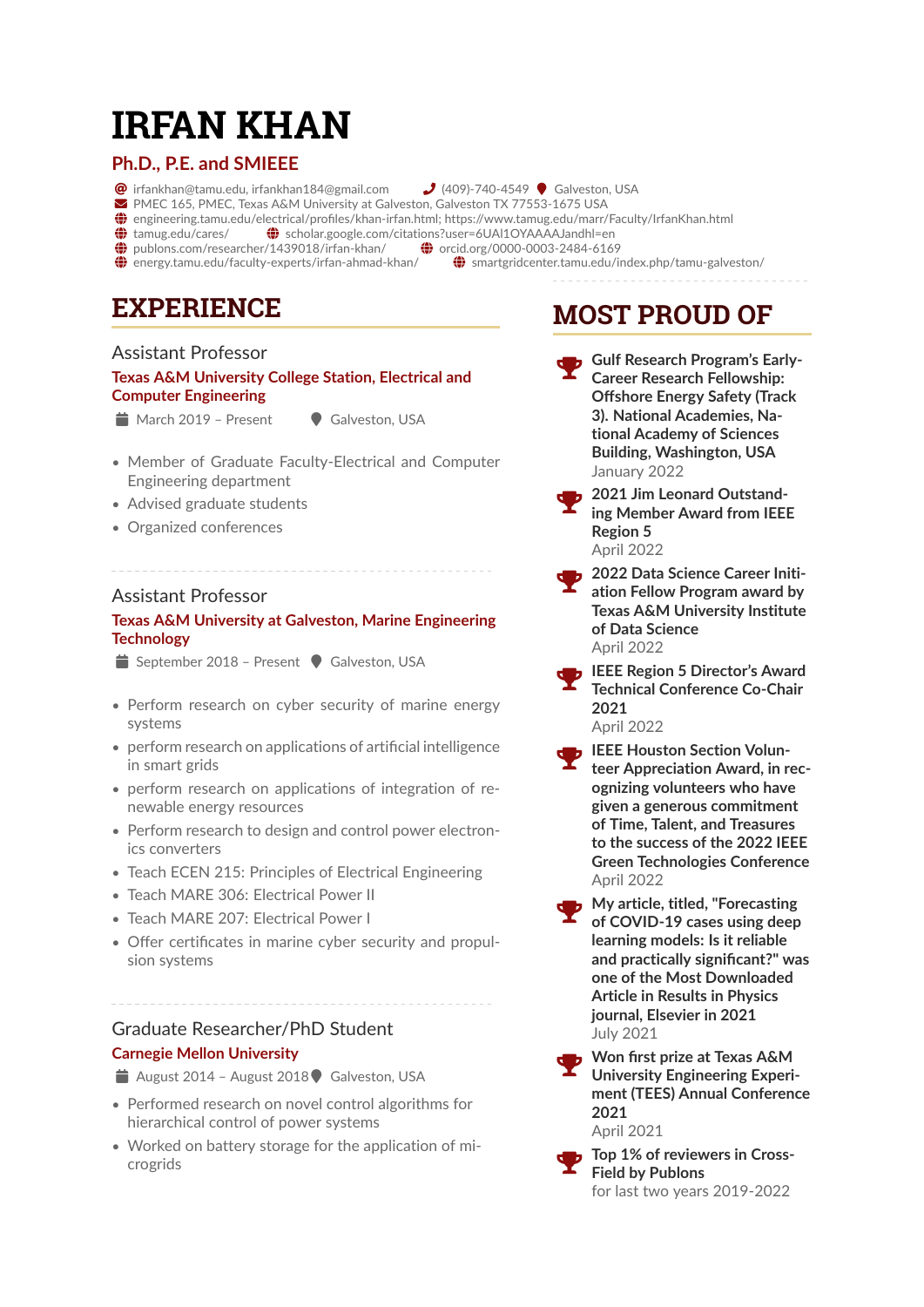# **IRFAN KHAN**

### **Ph.D., P.E. and SMIEEE**

- $\bullet$  [irfankhan@tamu.edu, irfankhan184@gmail.com](mailto:irfankhan@tamu.edu, irfankhan184@gmail.com)  $\bullet$  (409)-740-4549  $\bullet$  Galveston, USA
	-
- ! PMEC 165, PMEC, Texas A&M University at Galveston, Galveston TX 77553-1675 USA
- ~ [engineering.tamu.edu/electrical/profiles/khan-irfan.html; https://www.tamug.edu/marr/Faculty/IrfanKhan.html](https://engineering.tamu.edu/electrical/profiles/khan-irfan.html; https://www.tamug.edu/marr/Faculty/IrfanKhan.html)
- $\bigcirc$  [tamug.edu/cares/](https://tamug.edu/cares/ )  $\bigcirc$  [scholar.google.com/citations?user=6UAl1OYAAAAJandhl=en](https://scholar.google.com/citations?user=6UAl1OYAAAAJandhl=en )<br> $\bigcirc$  publons.com/researcher/1439018/irfan-khan/  $\bigcirc$  orcid.org/0000-0003-2484-6169
- $\bigoplus$  [publons.com/researcher/1439018/irfan-khan/](https://publons.com/researcher/1439018/irfan-khan/)  $\bigoplus$  energy.tamu.edu/faculty-experts/irfan-ahmad-khan/
	-
- $%$  [smartgridcenter.tamu.edu/index.php/tamu-galveston/](https://smartgridcenter.tamu.edu/index.php/tamu-galveston/)

## **EXPERIENCE**

### Assistant Professor

### **Texas A&M University College Station, Electrical and Computer Engineering**

- March 2019 Present Galveston, USA
	-
- Member of Graduate Faculty-Electrical and Computer Engineering department
- Advised graduate students
- Organized conferences

### Assistant Professor

### **Texas A&M University at Galveston, Marine Engineering Technology**

- $\bullet$  September 2018 Present  $\bullet$  Galveston, USA
- Perform research on cyber security of marine energy systems
- perform research on applications of artificial intelligence in smart grids
- perform research on applications of integration of renewable energy resources
- Perform research to design and control power electronics converters
- Teach ECEN 215: Principles of Electrical Engineering
- Teach MARE 306: Electrical Power II
- Teach MARE 207: Electrical Power I
- Offer certificates in marine cyber security and propulsion systems

### Graduate Researcher/PhD Student **Carnegie Mellon University**

- August 2014 August 2018  $\blacklozenge$  Galveston, USA
- Performed research on novel control algorithms for hierarchical control of power systems
- Worked on battery storage for the application of microgrids

## **MOST PROUD OF**

- Gulf Research Program's Early-**Career Research Fellowship: Offshore Energy Safety (Track 3). National Academies, National Academy of Sciences Building, Washington, USA** January 2022
- **2021 Jim Leonard Outstanding Member Award from IEEE Region 5** April 2022
- **2022 Data Science Career Initiation Fellow Program award by Texas A&M University Institute of Data Science** April 2022
- **IEEE Region 5 Director's Award Technical Conference Co-Chair 2021** April 2022
- **IEEE Houston Section Volunteer Appreciation Award, in recognizing volunteers who have given a generous commitment of Time, Talent, and Treasures to the success of the 2022 IEEE Green Technologies Conference** April 2022
- **My article, titled, "Forecasting of COVID-19 cases using deep learning models: Is it reliable and practically significant?" was one of the Most Downloaded Article in Results in Physics journal, Elsevier in 2021** July 2021
- **Won first prize at Texas A&M University Engineering Experiment (TEES) Annual Conference 2021** April 2021



 **Top 1% of reviewers in Cross-Field by Publons** for last two years 2019-2022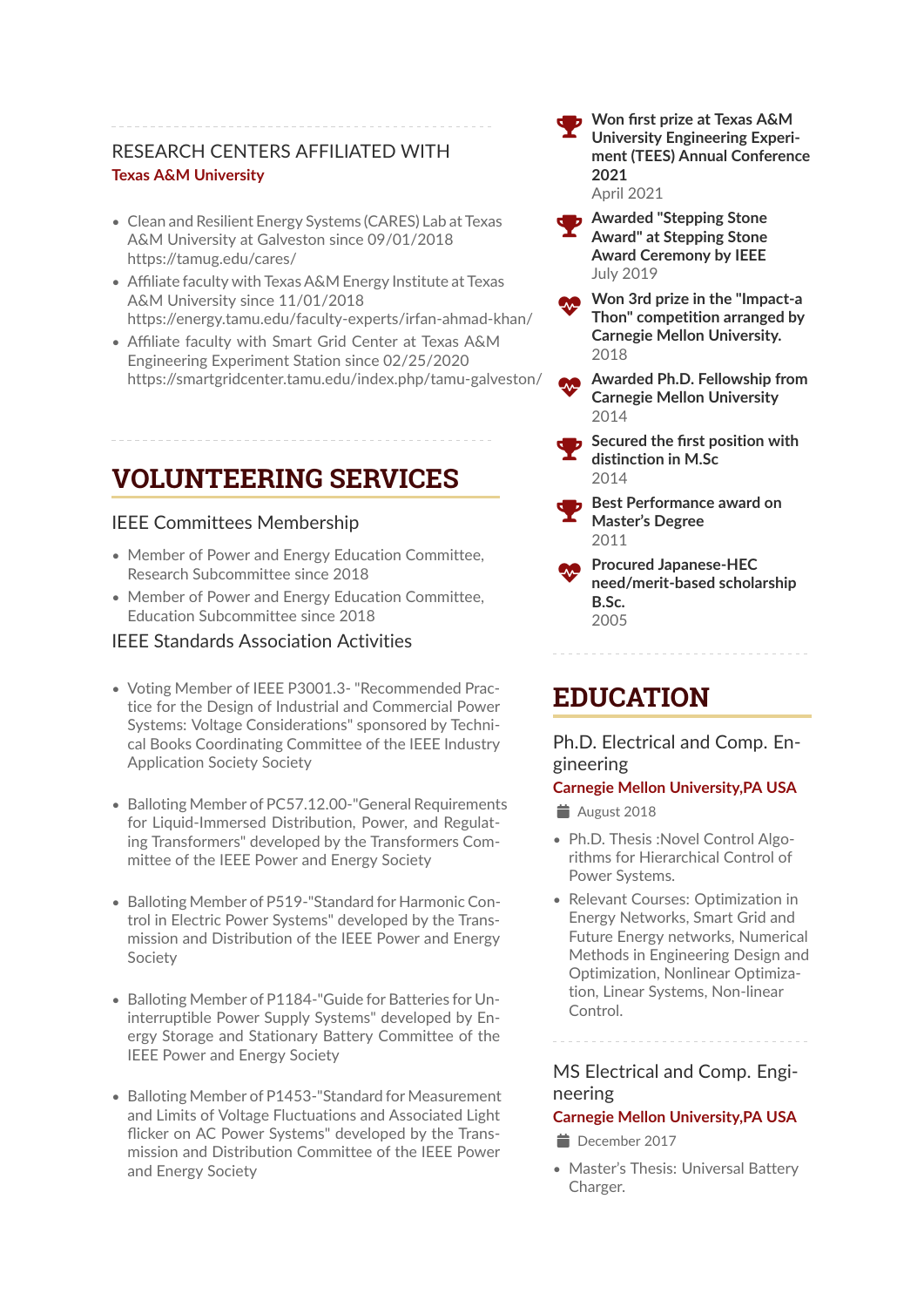### RESEARCH CENTERS AFFILIATED WITH **Texas A&M University**

- Clean and Resilient Energy Systems (CARES) Lab at Texas A&M University at Galveston since 09/01/2018 https://tamug.edu/cares/
- Affiliate faculty with Texas A&M Energy Institute at Texas A&M University since 11/01/2018 https://energy.tamu.edu/faculty-experts/irfan-ahmad-khan/
- Affiliate faculty with Smart Grid Center at Texas A&M Engineering Experiment Station since 02/25/2020 https://smartgridcenter.tamu.edu/index.php/tamu-galveston/

## **VOLUNTEERING SERVICES**

### IEEE Committees Membership

- Member of Power and Energy Education Committee, Research Subcommittee since 2018
- Member of Power and Energy Education Committee, Education Subcommittee since 2018

### IEEE Standards Association Activities

- Voting Member of IEEE P3001.3- "Recommended Practice for the Design of Industrial and Commercial Power Systems: Voltage Considerations" sponsored by Technical Books Coordinating Committee of the IEEE Industry Application Society Society
- Balloting Member of PC57.12.00-"General Requirements for Liquid-Immersed Distribution, Power, and Regulating Transformers" developed by the Transformers Committee of the IEEE Power and Energy Society
- Balloting Member of P519-"Standard for Harmonic Control in Electric Power Systems" developed by the Transmission and Distribution of the IEEE Power and Energy Society
- Balloting Member of P1184-"Guide for Batteries for Uninterruptible Power Supply Systems" developed by Energy Storage and Stationary Battery Committee of the IEEE Power and Energy Society
- Balloting Member of P1453-"Standard for Measurement and Limits of Voltage Fluctuations and Associated Light flicker on AC Power Systems" developed by the Transmission and Distribution Committee of the IEEE Power and Energy Society

 **Won first prize at Texas A&M University Engineering Experiment (TEES) Annual Conference 2021** April 2021

- **Awarded "Stepping Stone Award" at Stepping Stone Award Ceremony by IEEE** July 2019
- Æ **Won 3rd prize in the "Impact-a Thon" competition arranged by Carnegie Mellon University.** 2018
	- Æ **Awarded Ph.D. Fellowship from Carnegie Mellon University**  $2014$
	- **Secured the first position with distinction in M.Sc** 2014
- **Best Performance award on Master's Degree** 2011
- Æ **Procured Japanese-HEC need/merit-based scholarship B.Sc.** 2005

## **EDUCATION**

Ph.D. Electrical and Comp. Engineering

### **Carnegie Mellon University,PA USA**

 $\triangleq$  August 2018

- Ph.D. Thesis :Novel Control Algorithms for Hierarchical Control of Power Systems.
- Relevant Courses: Optimization in Energy Networks, Smart Grid and Future Energy networks, Numerical Methods in Engineering Design and Optimization, Nonlinear Optimization, Linear Systems, Non-linear Control.

MS Electrical and Comp. Engineering

### **Carnegie Mellon University,PA USA**

- December 2017
- Master's Thesis: Universal Battery Charger.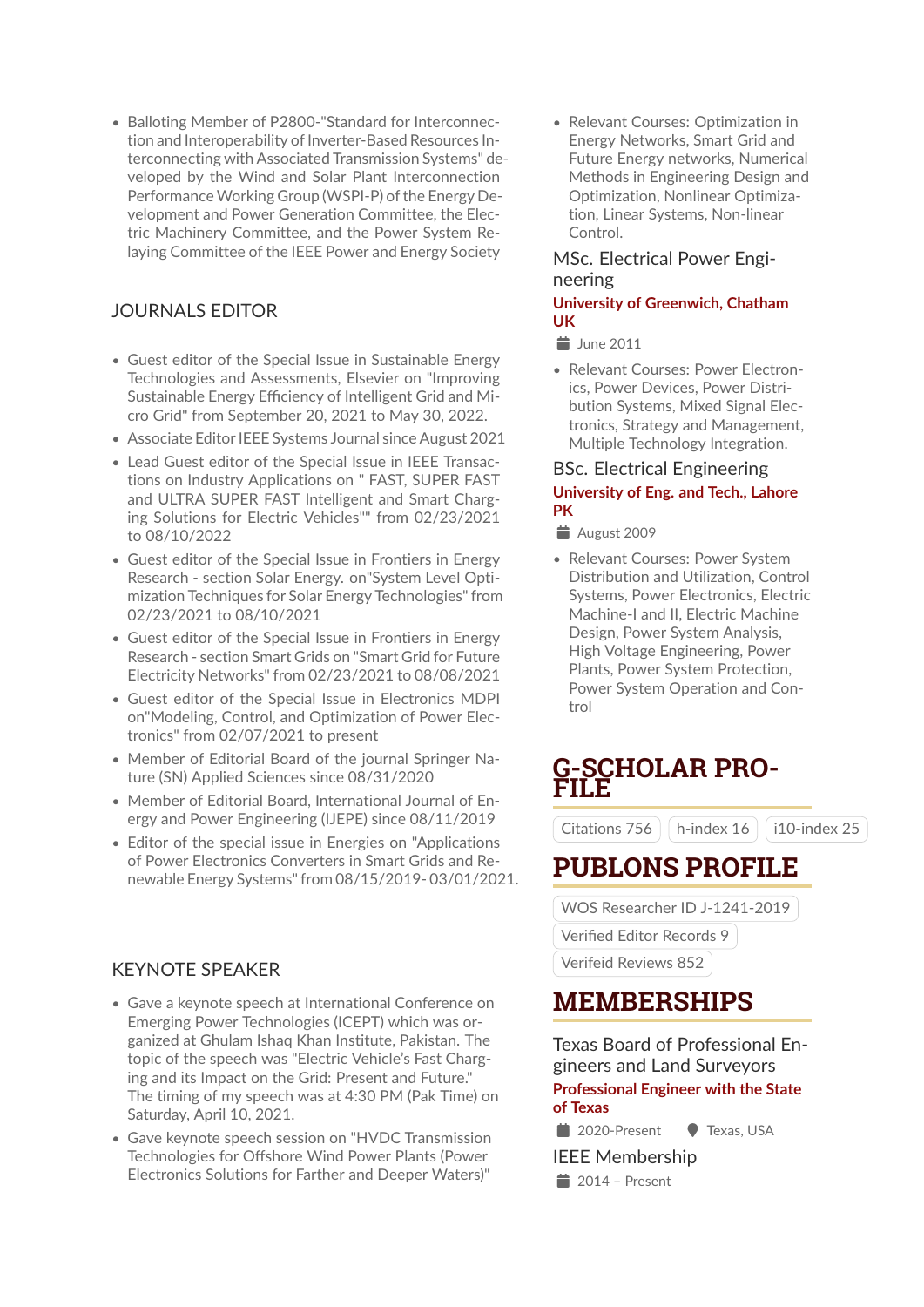• Balloting Member of P2800-"Standard for Interconnection and Interoperability of Inverter-Based Resources Interconnecting with Associated Transmission Systems" developed by the Wind and Solar Plant Interconnection Performance Working Group (WSPI-P) of the Energy Development and Power Generation Committee, the Electric Machinery Committee, and the Power System Relaying Committee of the IEEE Power and Energy Society

### JOURNALS EDITOR

- Guest editor of the Special Issue in Sustainable Energy Technologies and Assessments, Elsevier on "Improving Sustainable Energy Efficiency of Intelligent Grid and Micro Grid" from September 20, 2021 to May 30, 2022.
- Associate Editor IEEE Systems Journal since August 2021
- Lead Guest editor of the Special Issue in IEEE Transactions on Industry Applications on " FAST, SUPER FAST and ULTRA SUPER FAST Intelligent and Smart Charging Solutions for Electric Vehicles"" from 02/23/2021 to 08/10/2022
- Guest editor of the Special Issue in Frontiers in Energy Research - section Solar Energy. on"System Level Optimization Techniques for Solar Energy Technologies" from 02/23/2021 to 08/10/2021
- Guest editor of the Special Issue in Frontiers in Energy Research - section Smart Grids on "Smart Grid for Future Electricity Networks" from 02/23/2021 to 08/08/2021
- Guest editor of the Special Issue in Electronics MDPI on"Modeling, Control, and Optimization of Power Electronics" from 02/07/2021 to present
- Member of Editorial Board of the journal Springer Nature (SN) Applied Sciences since 08/31/2020
- Member of Editorial Board, International Journal of Energy and Power Engineering (IJEPE) since 08/11/2019
- Editor of the special issue in Energies on "Applications of Power Electronics Converters in Smart Grids and Renewable Energy Systems" from 08/15/2019- 03/01/2021.

### KEYNOTE SPEAKER

- Gave a keynote speech at International Conference on Emerging Power Technologies (ICEPT) which was organized at Ghulam Ishaq Khan Institute, Pakistan. The topic of the speech was "Electric Vehicle's Fast Charging and its Impact on the Grid: Present and Future." The timing of my speech was at 4:30 PM (Pak Time) on Saturday, April 10, 2021.
- Gave keynote speech session on "HVDC Transmission Technologies for Offshore Wind Power Plants (Power Electronics Solutions for Farther and Deeper Waters)"

• Relevant Courses: Optimization in Energy Networks, Smart Grid and Future Energy networks, Numerical Methods in Engineering Design and Optimization, Nonlinear Optimization, Linear Systems, Non-linear Control.

### MSc. Electrical Power Engineering

### **University of Greenwich, Chatham UK**

 $\equiv$  June 2011

• Relevant Courses: Power Electronics, Power Devices, Power Distribution Systems, Mixed Signal Electronics, Strategy and Management, Multiple Technology Integration.

### BSc. Electrical Engineering **University of Eng. and Tech., Lahore PK**

 $\triangleq$  August 2009

• Relevant Courses: Power System Distribution and Utilization, Control Systems, Power Electronics, Electric Machine-I and II, Electric Machine Design, Power System Analysis, High Voltage Engineering, Power Plants, Power System Protection, Power System Operation and Control

## **G-SCHOLAR PRO-FILE**

Citations 756 |  $\mid$  h-index 16 |  $\mid$  i10-index 25

## **PUBLONS PROFILE**

WOS Researcher ID J-1241-2019

Verified Editor Records 9

Verifeid Reviews 852

## **MEMBERSHIPS**

Texas Board of Professional Engineers and Land Surveyors **Professional Engineer with the State of Texas**

<sup>■</sup> 2020-Present ● Texas, USA

IEEE Membership

 $\equiv$  2014 – Present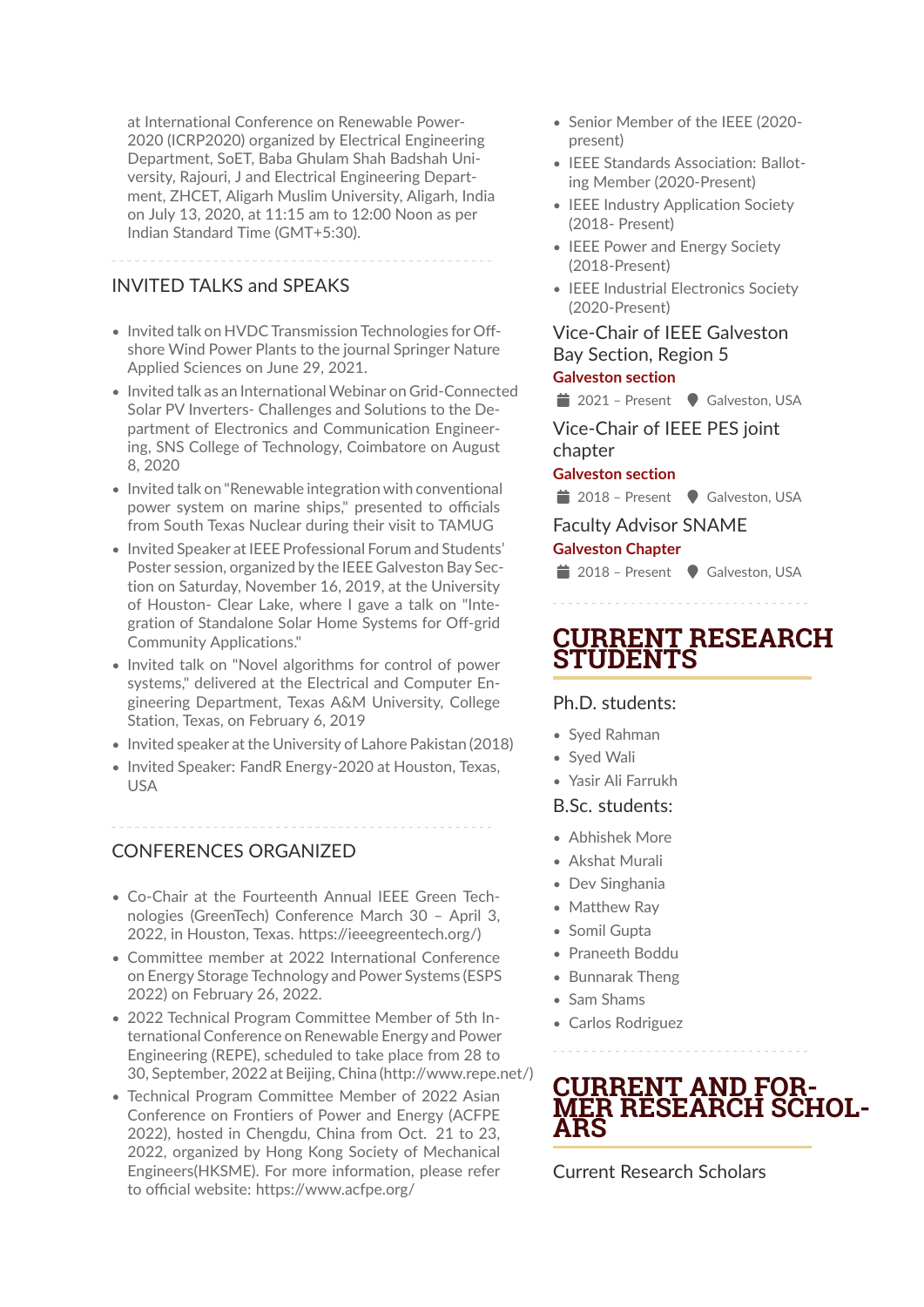at International Conference on Renewable Power-2020 (ICRP2020) organized by Electrical Engineering Department, SoET, Baba Ghulam Shah Badshah University, Rajouri, J and Electrical Engineering Department, ZHCET, Aligarh Muslim University, Aligarh, India on July 13, 2020, at 11:15 am to 12:00 Noon as per Indian Standard Time (GMT+5:30).

### INVITED TALKS and SPEAKS

- Invited talk on HVDC Transmission Technologies for Offshore Wind Power Plants to the journal Springer Nature Applied Sciences on June 29, 2021.
- Invited talk as an International Webinar on Grid-Connected Solar PV Inverters- Challenges and Solutions to the Department of Electronics and Communication Engineering, SNS College of Technology, Coimbatore on August 8, 2020
- Invited talk on "Renewable integration with conventional power system on marine ships," presented to officials from South Texas Nuclear during their visit to TAMUG
- Invited Speaker at IEEE Professional Forum and Students' Poster session, organized by the IEEE Galveston Bay Section on Saturday, November 16, 2019, at the University of Houston- Clear Lake, where I gave a talk on "Integration of Standalone Solar Home Systems for Off-grid Community Applications."
- Invited talk on "Novel algorithms for control of power systems," delivered at the Electrical and Computer Engineering Department, Texas A&M University, College Station, Texas, on February 6, 2019
- Invited speaker at the University of Lahore Pakistan (2018)
- Invited Speaker: FandR Energy-2020 at Houston, Texas, USA

### CONFERENCES ORGANIZED

- Co-Chair at the Fourteenth Annual IEEE Green Technologies (GreenTech) Conference March 30 – April 3, 2022, in Houston, Texas. https://ieeegreentech.org/)
- Committee member at 2022 International Conference on Energy Storage Technology and Power Systems (ESPS 2022) on February 26, 2022.
- 2022 Technical Program Committee Member of 5th International Conference on Renewable Energy and Power Engineering (REPE), scheduled to take place from 28 to 30, September, 2022 at Beijing, China (http://www.repe.net/)
- Technical Program Committee Member of 2022 Asian Conference on Frontiers of Power and Energy (ACFPE 2022), hosted in Chengdu, China from Oct. 21 to 23, 2022, organized by Hong Kong Society of Mechanical Engineers(HKSME). For more information, please refer to official website: https://www.acfpe.org/
- Senior Member of the IEEE (2020 present)
- IEEE Standards Association: Balloting Member (2020-Present)
- IEEE Industry Application Society (2018- Present)
- IEEE Power and Energy Society (2018-Present)
- IEEE Industrial Electronics Society (2020-Present)

### Vice-Chair of IEEE Galveston Bay Section, Region 5

### **Galveston section**

■ 2021 – Present ● Galveston, USA

### Vice-Chair of IEEE PES joint chapter

### **Galveston section**

 $\equiv$  2018 – Present  $\bullet$  Galveston, USA

Faculty Advisor SNAME

### **Galveston Chapter**

■ 2018 – Present ● Galveston, USA

## **CURRENT RESEARCH STUDENTS**

### Ph.D. students:

- Syed Rahman
- Syed Wali
- Yasir Ali Farrukh

### B.Sc. students:

- Abhishek More
- Akshat Murali
- Dev Singhania
- Matthew Ray
- Somil Gupta
- Praneeth Boddu
- Bunnarak Theng
- Sam Shams
- Carlos Rodriguez



Current Research Scholars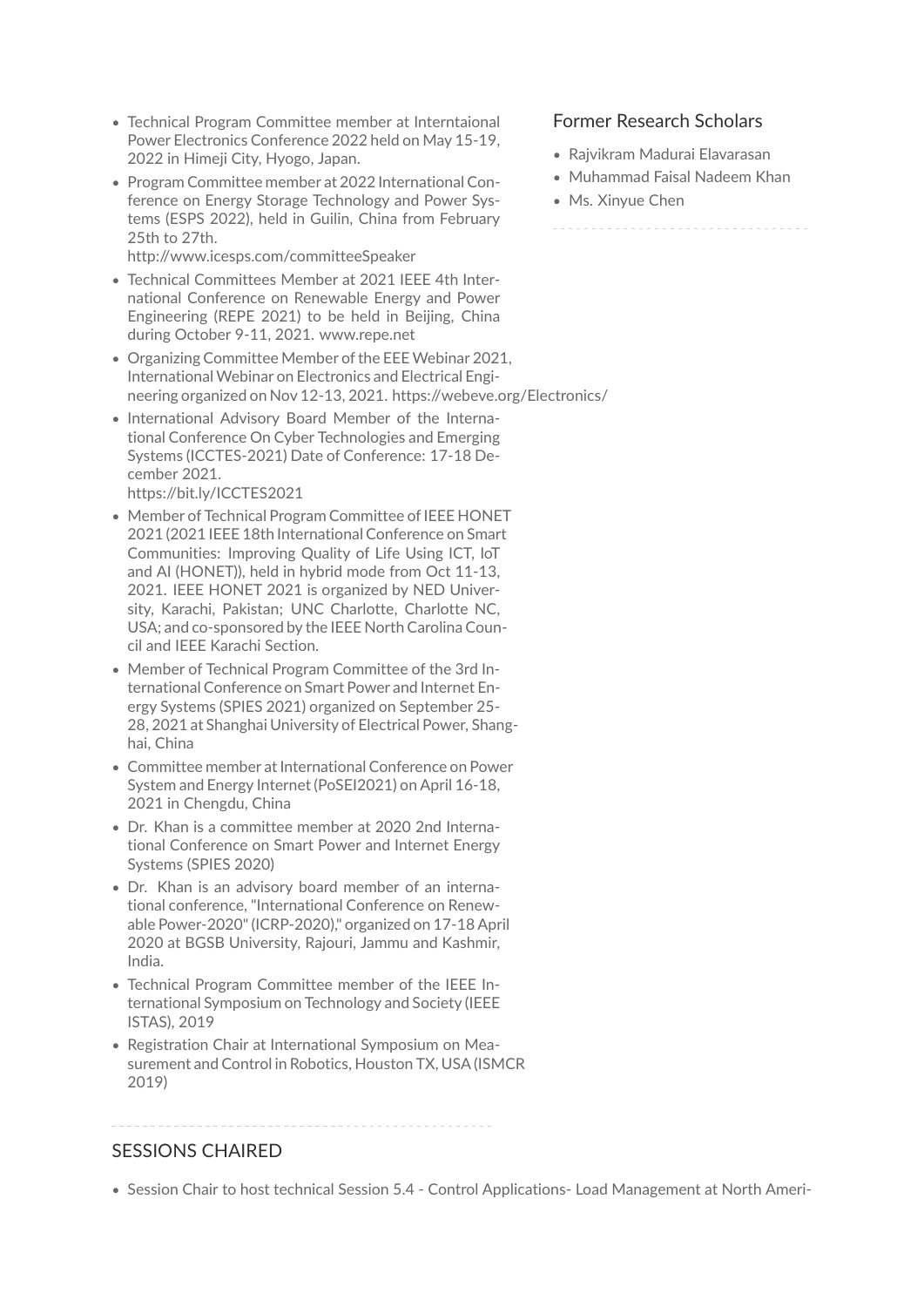- Technical Program Committee member at Interntaional Power Electronics Conference 2022 held on May 15-19, 2022 in Himeji City, Hyogo, Japan.
- Program Committee member at 2022 International Conference on Energy Storage Technology and Power Systems (ESPS 2022), held in Guilin, China from February 25th to 27th.

http://www.icesps.com/committeeSpeaker

- Technical Committees Member at 2021 IEEE 4th International Conference on Renewable Energy and Power Engineering (REPE 2021) to be held in Beijing, China during October 9-11, 2021. www.repe.net
- Organizing Committee Member of the EEEWebinar 2021, International Webinar on Electronics and Electrical Engineering organized on Nov 12-13, 2021. https://webeve.org/Electronics/
- International Advisory Board Member of the International Conference On Cyber Technologies and Emerging Systems (ICCTES-2021) Date of Conference: 17-18 December 2021.

https://bit.ly/ICCTES2021

- Member of Technical Program Committee of IEEE HONET 2021 (2021 IEEE 18th International Conference on Smart Communities: Improving Quality of Life Using ICT, IoT and AI (HONET)), held in hybrid mode from Oct 11-13, 2021. IEEE HONET 2021 is organized by NED University, Karachi, Pakistan; UNC Charlotte, Charlotte NC, USA; and co-sponsored by the IEEE North Carolina Council and IEEE Karachi Section.
- Member of Technical Program Committee of the 3rd International Conference on Smart Power and Internet Energy Systems (SPIES 2021) organized on September 25- 28, 2021 at Shanghai University of Electrical Power, Shanghai, China
- Committee member at International Conference on Power System and Energy Internet (PoSEI2021) on April 16-18, 2021 in Chengdu, China
- Dr. Khan is a committee member at 2020 2nd International Conference on Smart Power and Internet Energy Systems (SPIES 2020)
- Dr. Khan is an advisory board member of an international conference, "International Conference on Renewable Power-2020" (ICRP-2020)," organized on 17-18 April 2020 at BGSB University, Rajouri, Jammu and Kashmir, India.
- Technical Program Committee member of the IEEE International Symposium on Technology and Society (IEEE ISTAS), 2019
- Registration Chair at International Symposium on Measurement and Control in Robotics, Houston TX, USA (ISMCR 2019)

### SESSIONS CHAIRED

• Session Chair to host technical Session 5.4 - Control Applications- Load Management at North Ameri-

### Former Research Scholars

- Rajvikram Madurai Elavarasan
- Muhammad Faisal Nadeem Khan
- Ms. Xinyue Chen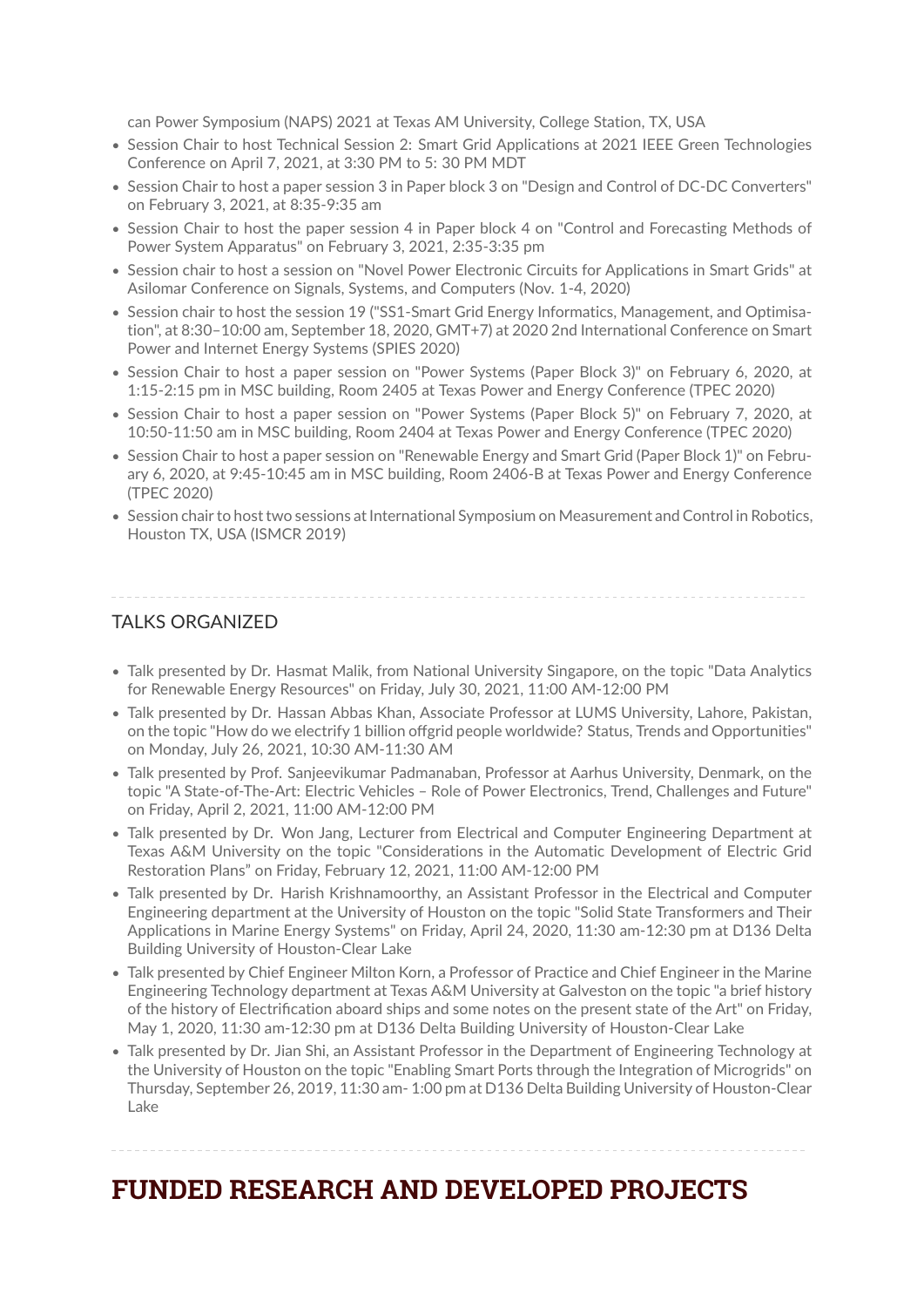can Power Symposium (NAPS) 2021 at Texas AM University, College Station, TX, USA

- Session Chair to host Technical Session 2: Smart Grid Applications at 2021 IEEE Green Technologies Conference on April 7, 2021, at 3:30 PM to 5: 30 PM MDT
- Session Chair to host a paper session 3 in Paper block 3 on "Design and Control of DC-DC Converters" on February 3, 2021, at 8:35-9:35 am
- Session Chair to host the paper session 4 in Paper block 4 on "Control and Forecasting Methods of Power System Apparatus" on February 3, 2021, 2:35-3:35 pm
- Session chair to host a session on "Novel Power Electronic Circuits for Applications in Smart Grids" at Asilomar Conference on Signals, Systems, and Computers (Nov. 1-4, 2020)
- Session chair to host the session 19 ("SS1-Smart Grid Energy Informatics, Management, and Optimisation", at 8:30–10:00 am, September 18, 2020, GMT+7) at 2020 2nd International Conference on Smart Power and Internet Energy Systems (SPIES 2020)
- Session Chair to host a paper session on "Power Systems (Paper Block 3)" on February 6, 2020, at 1:15-2:15 pm in MSC building, Room 2405 at Texas Power and Energy Conference (TPEC 2020)
- Session Chair to host a paper session on "Power Systems (Paper Block 5)" on February 7, 2020, at 10:50-11:50 am in MSC building, Room 2404 at Texas Power and Energy Conference (TPEC 2020)
- Session Chair to host a paper session on "Renewable Energy and Smart Grid (Paper Block 1)" on February 6, 2020, at 9:45-10:45 am in MSC building, Room 2406-B at Texas Power and Energy Conference (TPEC 2020)
- Session chair to host two sessions at International Symposium on Measurement and Control in Robotics, Houston TX, USA (ISMCR 2019)

### TALKS ORGANIZED

- Talk presented by Dr. Hasmat Malik, from National University Singapore, on the topic "Data Analytics for Renewable Energy Resources" on Friday, July 30, 2021, 11:00 AM-12:00 PM
- Talk presented by Dr. Hassan Abbas Khan, Associate Professor at LUMS University, Lahore, Pakistan, on the topic "How do we electrify 1 billion offgrid people worldwide? Status, Trends and Opportunities" on Monday, July 26, 2021, 10:30 AM-11:30 AM
- Talk presented by Prof. Sanjeevikumar Padmanaban, Professor at Aarhus University, Denmark, on the topic "A State-of-The-Art: Electric Vehicles – Role of Power Electronics, Trend, Challenges and Future" on Friday, April 2, 2021, 11:00 AM-12:00 PM
- Talk presented by Dr. Won Jang, Lecturer from Electrical and Computer Engineering Department at Texas A&M University on the topic "Considerations in the Automatic Development of Electric Grid Restoration Plans" on Friday, February 12, 2021, 11:00 AM-12:00 PM
- Talk presented by Dr. Harish Krishnamoorthy, an Assistant Professor in the Electrical and Computer Engineering department at the University of Houston on the topic "Solid State Transformers and Their Applications in Marine Energy Systems" on Friday, April 24, 2020, 11:30 am-12:30 pm at D136 Delta Building University of Houston-Clear Lake
- Talk presented by Chief Engineer Milton Korn, a Professor of Practice and Chief Engineer in the Marine Engineering Technology department at Texas A&M University at Galveston on the topic "a brief history of the history of Electrification aboard ships and some notes on the present state of the Art" on Friday, May 1, 2020, 11:30 am-12:30 pm at D136 Delta Building University of Houston-Clear Lake
- Talk presented by Dr. Jian Shi, an Assistant Professor in the Department of Engineering Technology at the University of Houston on the topic "Enabling Smart Ports through the Integration of Microgrids" on Thursday, September 26, 2019, 11:30 am- 1:00 pm at D136 Delta Building University of Houston-Clear Lake

## **FUNDED RESEARCH AND DEVELOPED PROJECTS**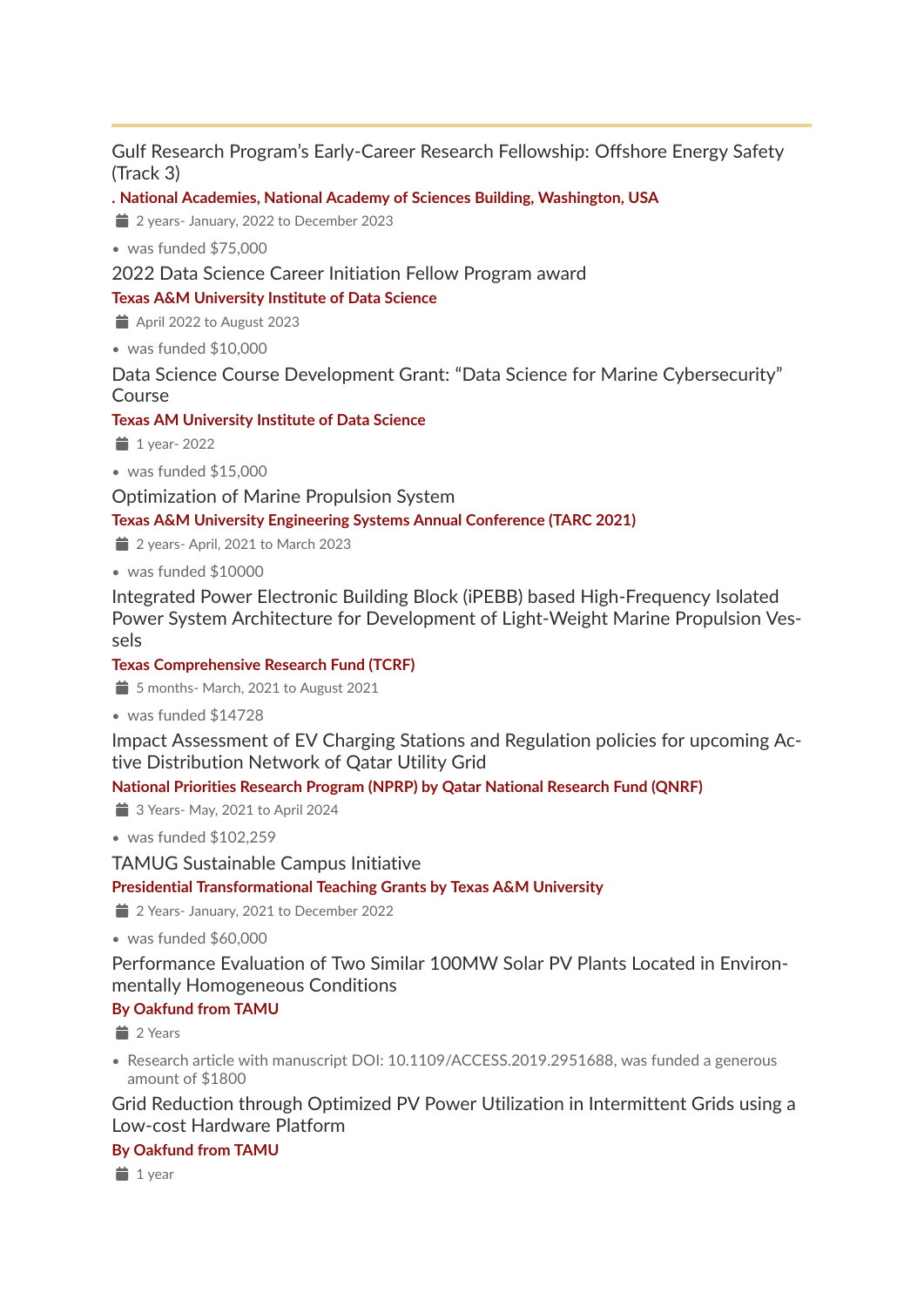### Gulf Research Program's Early-Career Research Fellowship: Offshore Energy Safety (Track 3)

**. National Academies, National Academy of Sciences Building, Washington, USA**

 $\equiv$  2 years- January, 2022 to December 2023

• was funded \$75,000

2022 Data Science Career Initiation Fellow Program award

### **Texas A&M University Institute of Data Science**

- $\Rightarrow$  April 2022 to August 2023
- was funded \$10,000

Data Science Course Development Grant: "Data Science for Marine Cybersecurity" Course

### **Texas AM University Institute of Data Science**

- $\ddot{\bullet}$  1 year- 2022
- was funded \$15,000

Optimization of Marine Propulsion System

**Texas A&M University Engineering Systems Annual Conference (TARC 2021)**

- $\equiv$  2 years- April, 2021 to March 2023
- was funded \$10000

Integrated Power Electronic Building Block (iPEBB) based High-Frequency Isolated Power System Architecture for Development of Light-Weight Marine Propulsion Vessels

### **Texas Comprehensive Research Fund (TCRF)**

- $\Rightarrow$  5 months- March, 2021 to August 2021
- was funded \$14728

Impact Assessment of EV Charging Stations and Regulation policies for upcoming Active Distribution Network of Qatar Utility Grid

### **National Priorities Research Program (NPRP) by Qatar National Research Fund (QNRF)**

 $\Rightarrow$  3 Years- May, 2021 to April 2024

• was funded \$102,259

TAMUG Sustainable Campus Initiative

### **Presidential Transformational Teaching Grants by Texas A&M University**

2 Years- January, 2021 to December 2022

• was funded \$60,000

Performance Evaluation of Two Similar 100MW Solar PV Plants Located in Environmentally Homogeneous Conditions

### **By Oakfund from TAMU**

 $\equiv$  2 Years

• Research article with manuscript DOI: 10.1109/ACCESS.2019.2951688, was funded a generous amount of \$1800

Grid Reduction through Optimized PV Power Utilization in Intermittent Grids using a Low-cost Hardware Platform

### **By Oakfund from TAMU**

 $\equiv$  1 year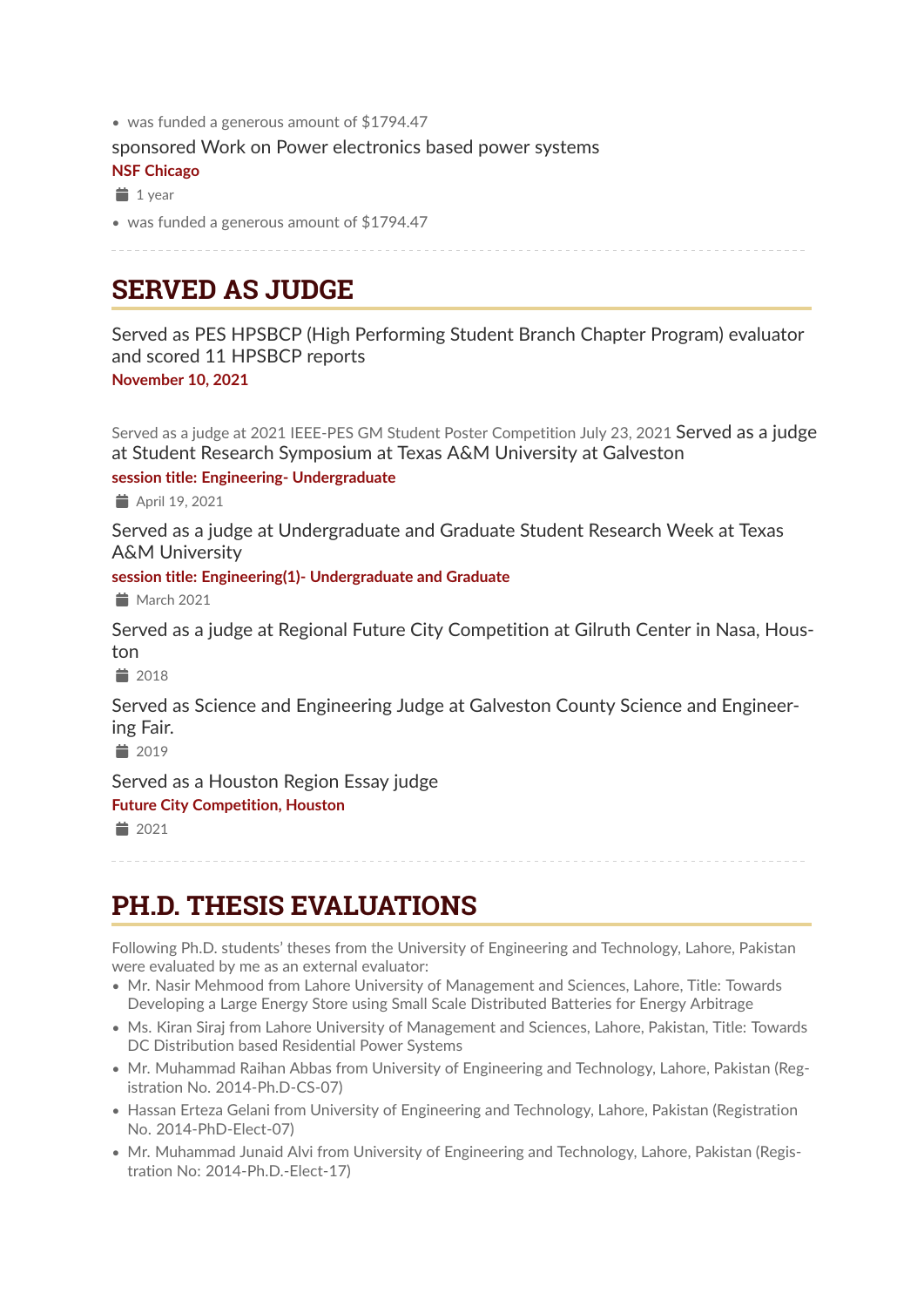• was funded a generous amount of \$1794.47

sponsored Work on Power electronics based power systems

**NSF Chicago**

 $1$  year

• was funded a generous amount of \$1794.47

## **SERVED AS JUDGE**

Served as PES HPSBCP (High Performing Student Branch Chapter Program) evaluator and scored 11 HPSBCP reports **November 10, 2021**

Served as a judge at 2021 IEEE-PES GM Student Poster Competition July 23, 2021 Served as a judge at Student Research Symposium at Texas A&M University at Galveston

### **session title: Engineering- Undergraduate**

April 19, 2021

Served as a judge at Undergraduate and Graduate Student Research Week at Texas A&M University

**session title: Engineering(1)- Undergraduate and Graduate**

 $March 2021$ 

Served as a judge at Regional Future City Competition at Gilruth Center in Nasa, Houston

 $\equiv$  2018

Served as Science and Engineering Judge at Galveston County Science and Engineering Fair.

 $*$  2019

Served as a Houston Region Essay judge

### **Future City Competition, Houston**

 $\equiv$  2021

## **PH.D. THESIS EVALUATIONS**

Following Ph.D. students' theses from the University of Engineering and Technology, Lahore, Pakistan were evaluated by me as an external evaluator:

- Mr. Nasir Mehmood from Lahore University of Management and Sciences, Lahore, Title: Towards Developing a Large Energy Store using Small Scale Distributed Batteries for Energy Arbitrage
- Ms. Kiran Siraj from Lahore University of Management and Sciences, Lahore, Pakistan, Title: Towards DC Distribution based Residential Power Systems
- Mr. Muhammad Raihan Abbas from University of Engineering and Technology, Lahore, Pakistan (Registration No. 2014-Ph.D-CS-07)
- Hassan Erteza Gelani from University of Engineering and Technology, Lahore, Pakistan (Registration No. 2014-PhD-Elect-07)
- Mr. Muhammad Junaid Alvi from University of Engineering and Technology, Lahore, Pakistan (Registration No: 2014-Ph.D.-Elect-17)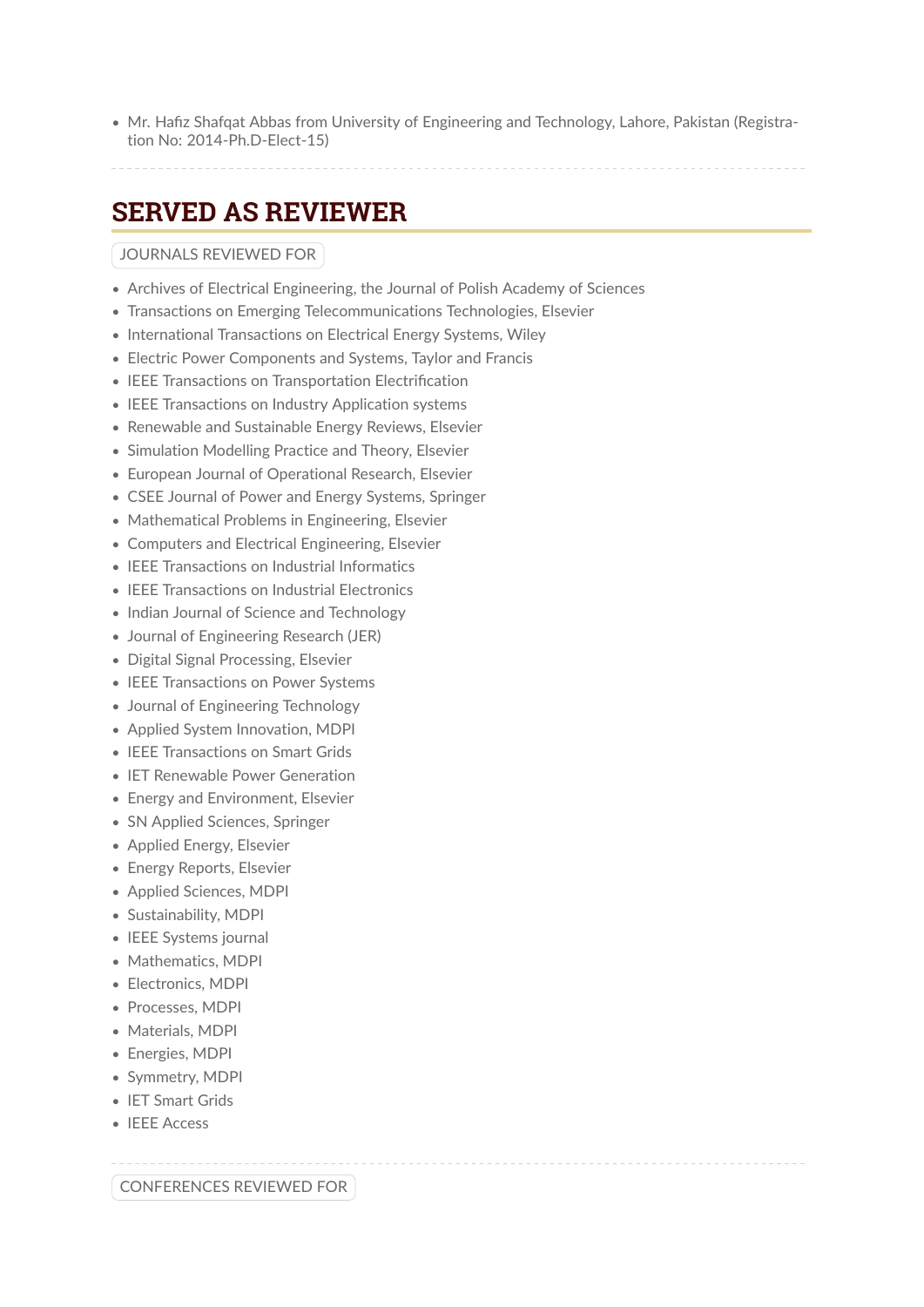• Mr. Hafiz Shafqat Abbas from University of Engineering and Technology, Lahore, Pakistan (Registration No: 2014-Ph.D-Elect-15)

## **SERVED AS REVIEWER**

### JOURNALS REVIEWED FOR

- Archives of Electrical Engineering, the Journal of Polish Academy of Sciences
- Transactions on Emerging Telecommunications Technologies, Elsevier
- International Transactions on Electrical Energy Systems, Wiley
- Electric Power Components and Systems, Taylor and Francis
- IEEE Transactions on Transportation Electrification
- IEEE Transactions on Industry Application systems
- Renewable and Sustainable Energy Reviews, Elsevier
- Simulation Modelling Practice and Theory, Elsevier
- European Journal of Operational Research, Elsevier
- CSEE Journal of Power and Energy Systems, Springer
- Mathematical Problems in Engineering, Elsevier
- Computers and Electrical Engineering, Elsevier
- IEEE Transactions on Industrial Informatics
- IEEE Transactions on Industrial Electronics
- Indian Journal of Science and Technology
- Journal of Engineering Research (JER)
- Digital Signal Processing, Elsevier
- IEEE Transactions on Power Systems
- Journal of Engineering Technology
- Applied System Innovation, MDPI
- IEEE Transactions on Smart Grids
- IET Renewable Power Generation
- Energy and Environment, Elsevier
- SN Applied Sciences, Springer
- Applied Energy, Elsevier
- Energy Reports, Elsevier
- Applied Sciences, MDPI
- Sustainability, MDPI
- IEEE Systems journal
- Mathematics, MDPI
- Electronics, MDPI
- Processes, MDPI
- Materials, MDPI
- Energies, MDPI
- Symmetry, MDPI
- IET Smart Grids
- IEEE Access

CONFERENCES REVIEWED FOR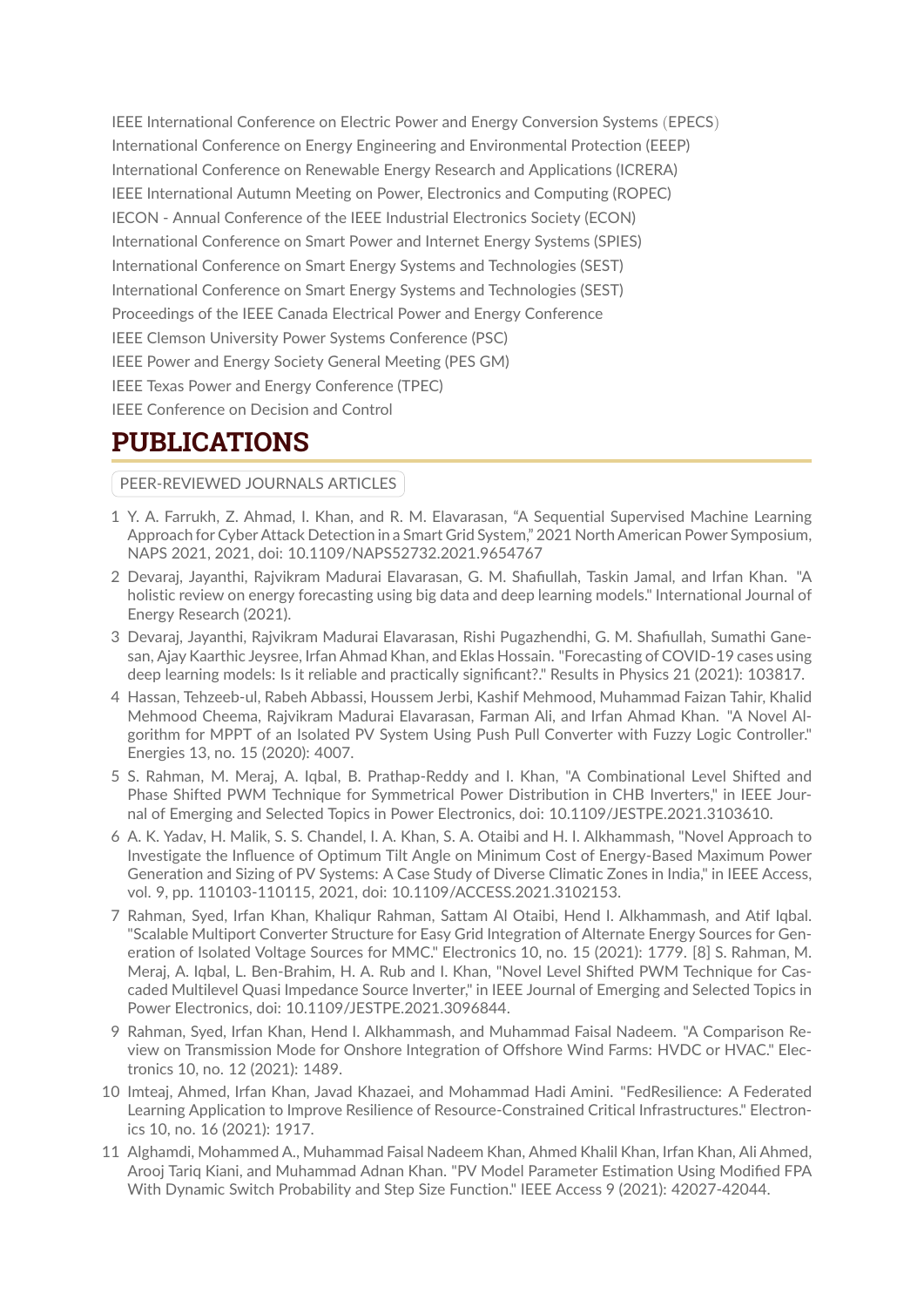IEEE International Conference on Electric Power and Energy Conversion Systems (EPECS) International Conference on Energy Engineering and Environmental Protection (EEEP) International Conference on Renewable Energy Research and Applications (ICRERA) IEEE International Autumn Meeting on Power, Electronics and Computing (ROPEC) IECON - Annual Conference of the IEEE Industrial Electronics Society (ECON) International Conference on Smart Power and Internet Energy Systems (SPIES) International Conference on Smart Energy Systems and Technologies (SEST) International Conference on Smart Energy Systems and Technologies (SEST) Proceedings of the IEEE Canada Electrical Power and Energy Conference IEEE Clemson University Power Systems Conference (PSC) IEEE Power and Energy Society General Meeting (PES GM) IEEE Texas Power and Energy Conference (TPEC) IEEE Conference on Decision and Control

## **PUBLICATIONS**

PEER-REVIEWED JOURNALS ARTICLES

- 1 Y. A. Farrukh, Z. Ahmad, I. Khan, and R. M. Elavarasan, "A Sequential Supervised Machine Learning Approach for Cyber Attack Detection in a Smart Grid System," 2021 North American Power Symposium, NAPS 2021, 2021, doi: 10.1109/NAPS52732.2021.9654767
- 2 Devaraj, Jayanthi, Rajvikram Madurai Elavarasan, G. M. Shafiullah, Taskin Jamal, and Irfan Khan. "A holistic review on energy forecasting using big data and deep learning models." International Journal of Energy Research (2021).
- 3 Devaraj, Jayanthi, Rajvikram Madurai Elavarasan, Rishi Pugazhendhi, G. M. Shafiullah, Sumathi Ganesan, Ajay Kaarthic Jeysree, Irfan Ahmad Khan, and Eklas Hossain. "Forecasting of COVID-19 cases using deep learning models: Is it reliable and practically significant?." Results in Physics 21 (2021): 103817.
- 4 Hassan, Tehzeeb-ul, Rabeh Abbassi, Houssem Jerbi, Kashif Mehmood, Muhammad Faizan Tahir, Khalid Mehmood Cheema, Rajvikram Madurai Elavarasan, Farman Ali, and Irfan Ahmad Khan. "A Novel Algorithm for MPPT of an Isolated PV System Using Push Pull Converter with Fuzzy Logic Controller." Energies 13, no. 15 (2020): 4007.
- 5 S. Rahman, M. Meraj, A. Iqbal, B. Prathap-Reddy and I. Khan, "A Combinational Level Shifted and Phase Shifted PWM Technique for Symmetrical Power Distribution in CHB Inverters," in IEEE Journal of Emerging and Selected Topics in Power Electronics, doi: 10.1109/JESTPE.2021.3103610.
- 6 A. K. Yadav, H. Malik, S. S. Chandel, I. A. Khan, S. A. Otaibi and H. I. Alkhammash, "Novel Approach to Investigate the Influence of Optimum Tilt Angle on Minimum Cost of Energy-Based Maximum Power Generation and Sizing of PV Systems: A Case Study of Diverse Climatic Zones in India," in IEEE Access, vol. 9, pp. 110103-110115, 2021, doi: 10.1109/ACCESS.2021.3102153.
- 7 Rahman, Syed, Irfan Khan, Khaliqur Rahman, Sattam Al Otaibi, Hend I. Alkhammash, and Atif Iqbal. "Scalable Multiport Converter Structure for Easy Grid Integration of Alternate Energy Sources for Generation of Isolated Voltage Sources for MMC." Electronics 10, no. 15 (2021): 1779. [8] S. Rahman, M. Meraj, A. Iqbal, L. Ben-Brahim, H. A. Rub and I. Khan, "Novel Level Shifted PWM Technique for Cascaded Multilevel Quasi Impedance Source Inverter," in IEEE Journal of Emerging and Selected Topics in Power Electronics, doi: 10.1109/JESTPE.2021.3096844.
- 9 Rahman, Syed, Irfan Khan, Hend I. Alkhammash, and Muhammad Faisal Nadeem. "A Comparison Review on Transmission Mode for Onshore Integration of Offshore Wind Farms: HVDC or HVAC." Electronics 10, no. 12 (2021): 1489.
- 10 Imteaj, Ahmed, Irfan Khan, Javad Khazaei, and Mohammad Hadi Amini. "FedResilience: A Federated Learning Application to Improve Resilience of Resource-Constrained Critical Infrastructures." Electronics 10, no. 16 (2021): 1917.
- 11 Alghamdi, Mohammed A., Muhammad Faisal Nadeem Khan, Ahmed Khalil Khan, Irfan Khan, Ali Ahmed, Arooj Tariq Kiani, and Muhammad Adnan Khan. "PV Model Parameter Estimation Using Modified FPA With Dynamic Switch Probability and Step Size Function." IEEE Access 9 (2021): 42027-42044.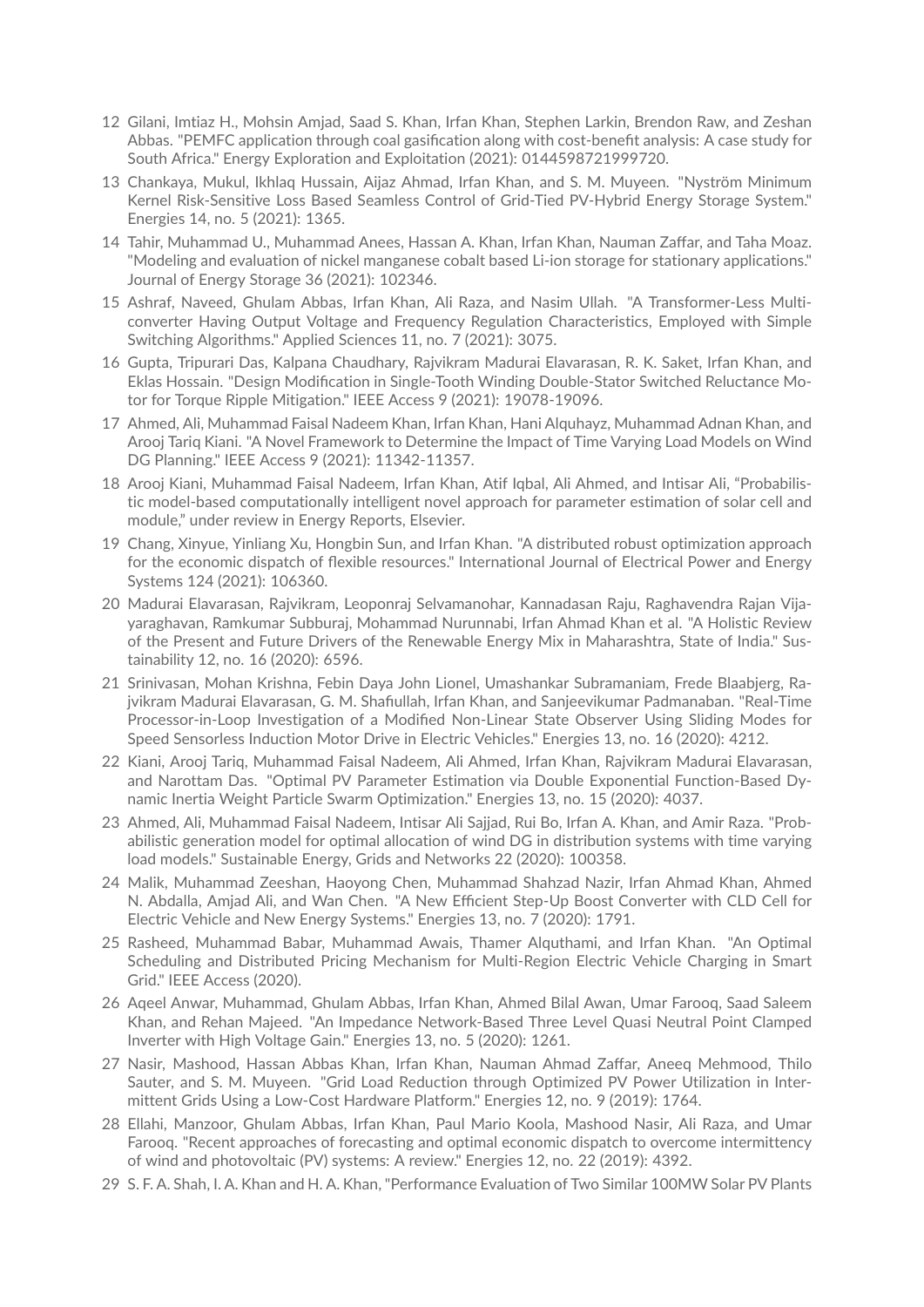- 12 Gilani, Imtiaz H., Mohsin Amjad, Saad S. Khan, Irfan Khan, Stephen Larkin, Brendon Raw, and Zeshan Abbas. "PEMFC application through coal gasification along with cost-benefit analysis: A case study for South Africa." Energy Exploration and Exploitation (2021): 0144598721999720.
- 13 Chankaya, Mukul, Ikhlaq Hussain, Aijaz Ahmad, Irfan Khan, and S. M. Muyeen. "Nyström Minimum Kernel Risk-Sensitive Loss Based Seamless Control of Grid-Tied PV-Hybrid Energy Storage System." Energies 14, no. 5 (2021): 1365.
- 14 Tahir, Muhammad U., Muhammad Anees, Hassan A. Khan, Irfan Khan, Nauman Zaffar, and Taha Moaz. "Modeling and evaluation of nickel manganese cobalt based Li-ion storage for stationary applications." Journal of Energy Storage 36 (2021): 102346.
- 15 Ashraf, Naveed, Ghulam Abbas, Irfan Khan, Ali Raza, and Nasim Ullah. "A Transformer-Less Multiconverter Having Output Voltage and Frequency Regulation Characteristics, Employed with Simple Switching Algorithms." Applied Sciences 11, no. 7 (2021): 3075.
- 16 Gupta, Tripurari Das, Kalpana Chaudhary, Rajvikram Madurai Elavarasan, R. K. Saket, Irfan Khan, and Eklas Hossain. "Design Modification in Single-Tooth Winding Double-Stator Switched Reluctance Motor for Torque Ripple Mitigation." IEEE Access 9 (2021): 19078-19096.
- 17 Ahmed, Ali, Muhammad Faisal Nadeem Khan, Irfan Khan, Hani Alquhayz, Muhammad Adnan Khan, and Arooj Tariq Kiani. "A Novel Framework to Determine the Impact of Time Varying Load Models on Wind DG Planning." IEEE Access 9 (2021): 11342-11357.
- 18 Arooj Kiani, Muhammad Faisal Nadeem, Irfan Khan, Atif Iqbal, Ali Ahmed, and Intisar Ali, "Probabilistic model-based computationally intelligent novel approach for parameter estimation of solar cell and module," under review in Energy Reports, Elsevier.
- 19 Chang, Xinyue, Yinliang Xu, Hongbin Sun, and Irfan Khan. "A distributed robust optimization approach for the economic dispatch of flexible resources." International Journal of Electrical Power and Energy Systems 124 (2021): 106360.
- 20 Madurai Elavarasan, Rajvikram, Leoponraj Selvamanohar, Kannadasan Raju, Raghavendra Rajan Vijayaraghavan, Ramkumar Subburaj, Mohammad Nurunnabi, Irfan Ahmad Khan et al. "A Holistic Review of the Present and Future Drivers of the Renewable Energy Mix in Maharashtra, State of India." Sustainability 12, no. 16 (2020): 6596.
- 21 Srinivasan, Mohan Krishna, Febin Daya John Lionel, Umashankar Subramaniam, Frede Blaabjerg, Rajvikram Madurai Elavarasan, G. M. Shafiullah, Irfan Khan, and Sanjeevikumar Padmanaban. "Real-Time Processor-in-Loop Investigation of a Modified Non-Linear State Observer Using Sliding Modes for Speed Sensorless Induction Motor Drive in Electric Vehicles." Energies 13, no. 16 (2020): 4212.
- 22 Kiani, Arooj Tariq, Muhammad Faisal Nadeem, Ali Ahmed, Irfan Khan, Rajvikram Madurai Elavarasan, and Narottam Das. "Optimal PV Parameter Estimation via Double Exponential Function-Based Dynamic Inertia Weight Particle Swarm Optimization." Energies 13, no. 15 (2020): 4037.
- 23 Ahmed, Ali, Muhammad Faisal Nadeem, Intisar Ali Sajjad, Rui Bo, Irfan A. Khan, and Amir Raza. "Probabilistic generation model for optimal allocation of wind DG in distribution systems with time varying load models." Sustainable Energy, Grids and Networks 22 (2020): 100358.
- 24 Malik, Muhammad Zeeshan, Haoyong Chen, Muhammad Shahzad Nazir, Irfan Ahmad Khan, Ahmed N. Abdalla, Amjad Ali, and Wan Chen. "A New Efficient Step-Up Boost Converter with CLD Cell for Electric Vehicle and New Energy Systems." Energies 13, no. 7 (2020): 1791.
- 25 Rasheed, Muhammad Babar, Muhammad Awais, Thamer Alquthami, and Irfan Khan. "An Optimal Scheduling and Distributed Pricing Mechanism for Multi-Region Electric Vehicle Charging in Smart Grid." IEEE Access (2020).
- 26 Aqeel Anwar, Muhammad, Ghulam Abbas, Irfan Khan, Ahmed Bilal Awan, Umar Farooq, Saad Saleem Khan, and Rehan Majeed. "An Impedance Network-Based Three Level Quasi Neutral Point Clamped Inverter with High Voltage Gain." Energies 13, no. 5 (2020): 1261.
- 27 Nasir, Mashood, Hassan Abbas Khan, Irfan Khan, Nauman Ahmad Zaffar, Aneeq Mehmood, Thilo Sauter, and S. M. Muyeen. "Grid Load Reduction through Optimized PV Power Utilization in Intermittent Grids Using a Low-Cost Hardware Platform." Energies 12, no. 9 (2019): 1764.
- 28 Ellahi, Manzoor, Ghulam Abbas, Irfan Khan, Paul Mario Koola, Mashood Nasir, Ali Raza, and Umar Farooq. "Recent approaches of forecasting and optimal economic dispatch to overcome intermittency of wind and photovoltaic (PV) systems: A review." Energies 12, no. 22 (2019): 4392.
- 29 S. F. A. Shah, I. A. Khan and H. A. Khan, "Performance Evaluation of Two Similar 100MW Solar PV Plants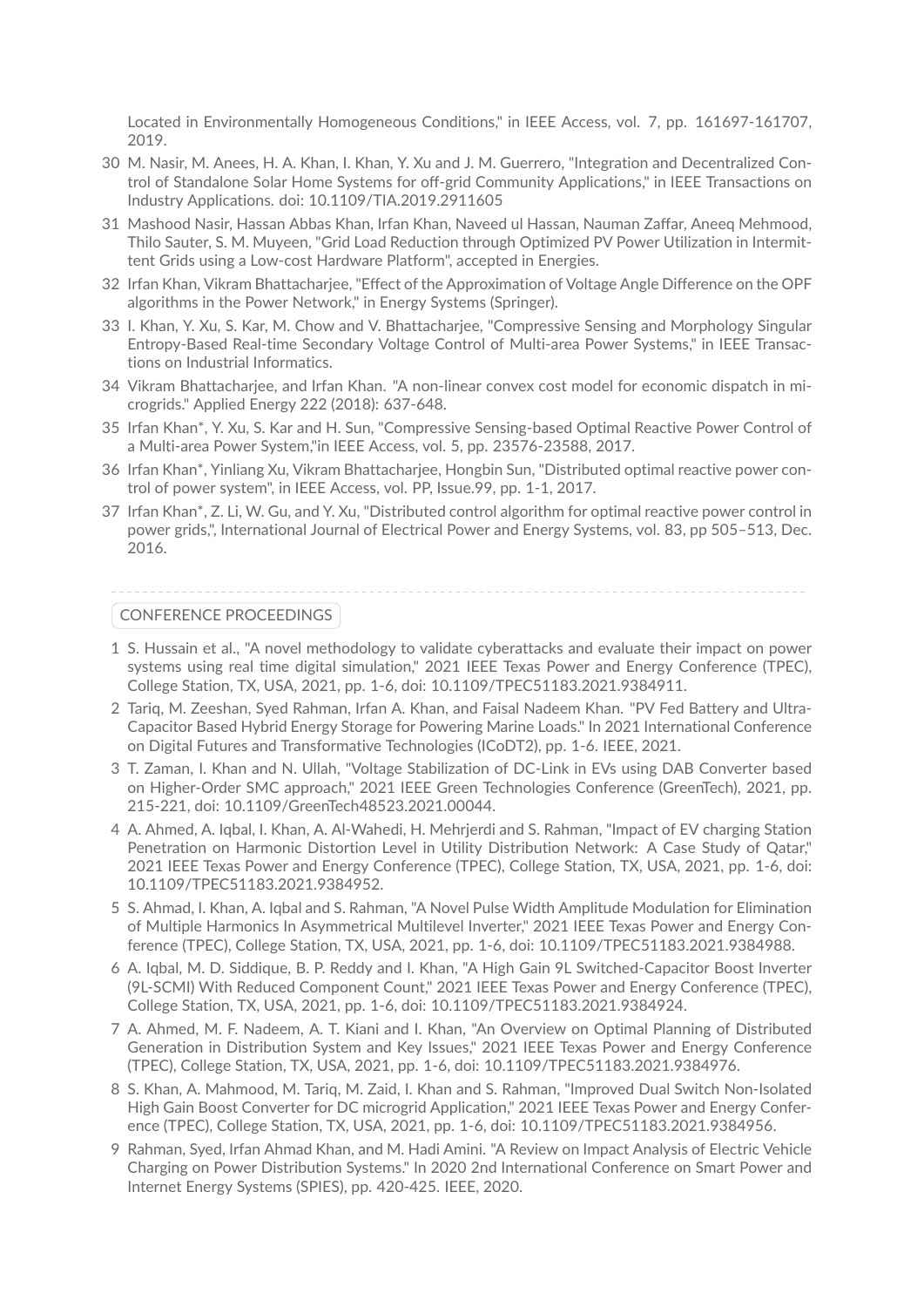Located in Environmentally Homogeneous Conditions," in IEEE Access, vol. 7, pp. 161697-161707, 2019.

- 30 M. Nasir, M. Anees, H. A. Khan, I. Khan, Y. Xu and J. M. Guerrero, "Integration and Decentralized Control of Standalone Solar Home Systems for off-grid Community Applications," in IEEE Transactions on Industry Applications. doi: 10.1109/TIA.2019.2911605
- 31 Mashood Nasir, Hassan Abbas Khan, Irfan Khan, Naveed ul Hassan, Nauman Zaffar, Aneeq Mehmood, Thilo Sauter, S. M. Muyeen, "Grid Load Reduction through Optimized PV Power Utilization in Intermittent Grids using a Low-cost Hardware Platform", accepted in Energies.
- 32 Irfan Khan, Vikram Bhattacharjee, "Effect of the Approximation of Voltage Angle Difference on the OPF algorithms in the Power Network," in Energy Systems (Springer).
- 33 I. Khan, Y. Xu, S. Kar, M. Chow and V. Bhattacharjee, "Compressive Sensing and Morphology Singular Entropy-Based Real-time Secondary Voltage Control of Multi-area Power Systems," in IEEE Transactions on Industrial Informatics.
- 34 Vikram Bhattacharjee, and Irfan Khan. "A non-linear convex cost model for economic dispatch in microgrids." Applied Energy 222 (2018): 637-648.
- 35 Irfan Khan\*, Y. Xu, S. Kar and H. Sun, "Compressive Sensing-based Optimal Reactive Power Control of a Multi-area Power System,"in IEEE Access, vol. 5, pp. 23576-23588, 2017.
- 36 Irfan Khan\*, Yinliang Xu, Vikram Bhattacharjee, Hongbin Sun, "Distributed optimal reactive power control of power system", in IEEE Access, vol. PP, Issue.99, pp. 1-1, 2017.
- 37 Irfan Khan\*, Z. Li, W. Gu, and Y. Xu, "Distributed control algorithm for optimal reactive power control in power grids,", International Journal of Electrical Power and Energy Systems, vol. 83, pp 505–513, Dec. 2016.

### CONFERENCE PROCEEDINGS

- 1 S. Hussain et al., "A novel methodology to validate cyberattacks and evaluate their impact on power systems using real time digital simulation," 2021 IEEE Texas Power and Energy Conference (TPEC), College Station, TX, USA, 2021, pp. 1-6, doi: 10.1109/TPEC51183.2021.9384911.
- 2 Tariq, M. Zeeshan, Syed Rahman, Irfan A. Khan, and Faisal Nadeem Khan. "PV Fed Battery and Ultra-Capacitor Based Hybrid Energy Storage for Powering Marine Loads." In 2021 International Conference on Digital Futures and Transformative Technologies (ICoDT2), pp. 1-6. IEEE, 2021.
- 3 T. Zaman, I. Khan and N. Ullah, "Voltage Stabilization of DC-Link in EVs using DAB Converter based on Higher-Order SMC approach," 2021 IEEE Green Technologies Conference (GreenTech), 2021, pp. 215-221, doi: 10.1109/GreenTech48523.2021.00044.
- 4 A. Ahmed, A. Iqbal, I. Khan, A. Al-Wahedi, H. Mehrjerdi and S. Rahman, "Impact of EV charging Station Penetration on Harmonic Distortion Level in Utility Distribution Network: A Case Study of Qatar," 2021 IEEE Texas Power and Energy Conference (TPEC), College Station, TX, USA, 2021, pp. 1-6, doi: 10.1109/TPEC51183.2021.9384952.
- 5 S. Ahmad, I. Khan, A. Iqbal and S. Rahman, "A Novel Pulse Width Amplitude Modulation for Elimination of Multiple Harmonics In Asymmetrical Multilevel Inverter," 2021 IEEE Texas Power and Energy Conference (TPEC), College Station, TX, USA, 2021, pp. 1-6, doi: 10.1109/TPEC51183.2021.9384988.
- 6 A. Iqbal, M. D. Siddique, B. P. Reddy and I. Khan, "A High Gain 9L Switched-Capacitor Boost Inverter (9L-SCMI) With Reduced Component Count," 2021 IEEE Texas Power and Energy Conference (TPEC), College Station, TX, USA, 2021, pp. 1-6, doi: 10.1109/TPEC51183.2021.9384924.
- 7 A. Ahmed, M. F. Nadeem, A. T. Kiani and I. Khan, "An Overview on Optimal Planning of Distributed Generation in Distribution System and Key Issues," 2021 IEEE Texas Power and Energy Conference (TPEC), College Station, TX, USA, 2021, pp. 1-6, doi: 10.1109/TPEC51183.2021.9384976.
- 8 S. Khan, A. Mahmood, M. Tariq, M. Zaid, I. Khan and S. Rahman, "Improved Dual Switch Non-Isolated High Gain Boost Converter for DC microgrid Application," 2021 IEEE Texas Power and Energy Conference (TPEC), College Station, TX, USA, 2021, pp. 1-6, doi: 10.1109/TPEC51183.2021.9384956.
- 9 Rahman, Syed, Irfan Ahmad Khan, and M. Hadi Amini. "A Review on Impact Analysis of Electric Vehicle Charging on Power Distribution Systems." In 2020 2nd International Conference on Smart Power and Internet Energy Systems (SPIES), pp. 420-425. IEEE, 2020.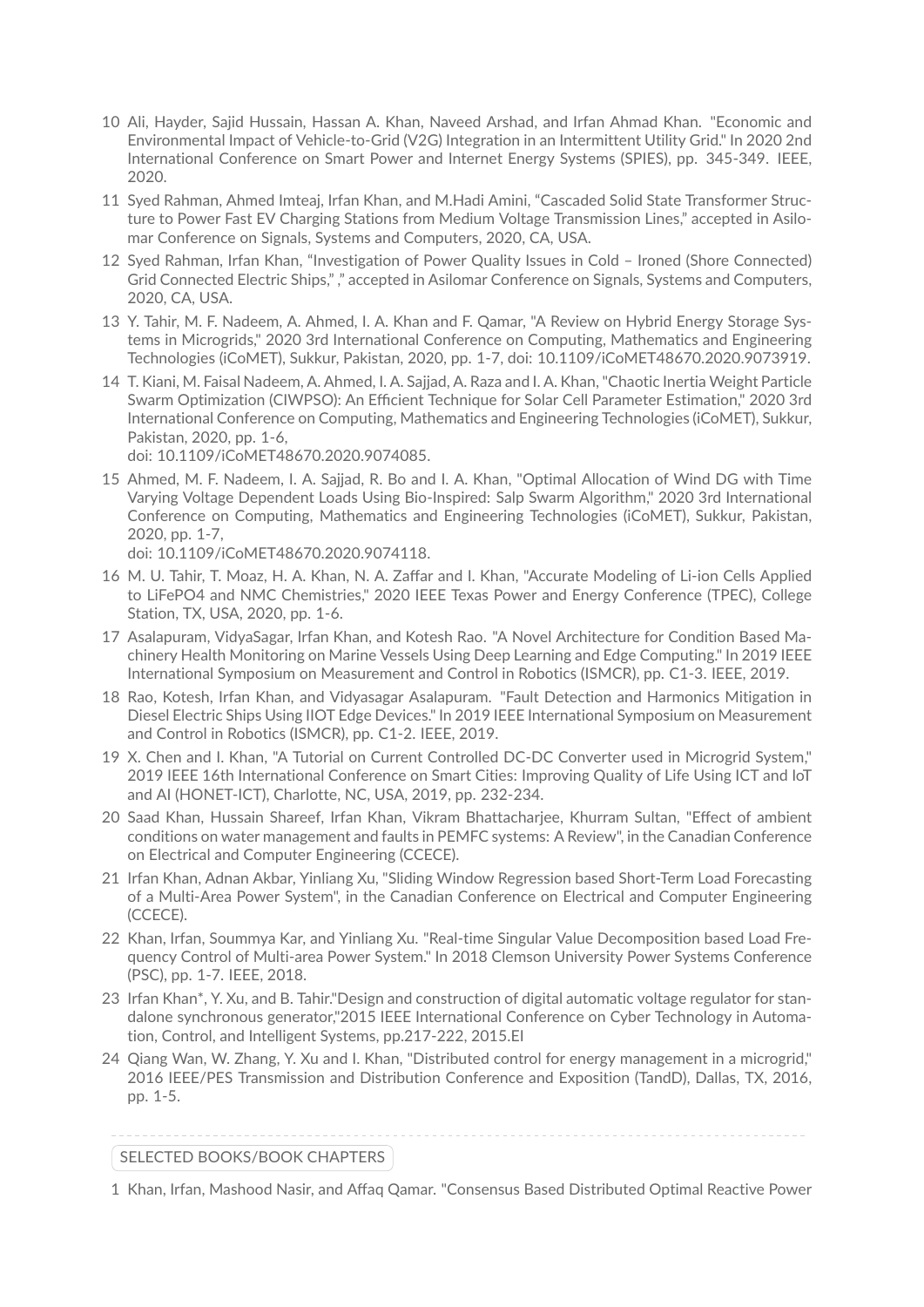- 10 Ali, Hayder, Sajid Hussain, Hassan A. Khan, Naveed Arshad, and Irfan Ahmad Khan. "Economic and Environmental Impact of Vehicle-to-Grid (V2G) Integration in an Intermittent Utility Grid." In 2020 2nd International Conference on Smart Power and Internet Energy Systems (SPIES), pp. 345-349. IEEE, 2020.
- 11 Syed Rahman, Ahmed Imteaj, Irfan Khan, and M.Hadi Amini, "Cascaded Solid State Transformer Structure to Power Fast EV Charging Stations from Medium Voltage Transmission Lines," accepted in Asilomar Conference on Signals, Systems and Computers, 2020, CA, USA.
- 12 Syed Rahman, Irfan Khan, "Investigation of Power Quality Issues in Cold Ironed (Shore Connected) Grid Connected Electric Ships," ," accepted in Asilomar Conference on Signals, Systems and Computers, 2020, CA, USA.
- 13 Y. Tahir, M. F. Nadeem, A. Ahmed, I. A. Khan and F. Qamar, "A Review on Hybrid Energy Storage Systems in Microgrids," 2020 3rd International Conference on Computing, Mathematics and Engineering Technologies (iCoMET), Sukkur, Pakistan, 2020, pp. 1-7, doi: 10.1109/iCoMET48670.2020.9073919.
- 14 T. Kiani, M. Faisal Nadeem, A. Ahmed, I. A. Sajjad, A. Raza and I. A. Khan, "Chaotic Inertia Weight Particle Swarm Optimization (CIWPSO): An Efficient Technique for Solar Cell Parameter Estimation," 2020 3rd International Conference on Computing, Mathematics and Engineering Technologies (iCoMET), Sukkur, Pakistan, 2020, pp. 1-6,

doi: 10.1109/iCoMET48670.2020.9074085.

15 Ahmed, M. F. Nadeem, I. A. Sajjad, R. Bo and I. A. Khan, "Optimal Allocation of Wind DG with Time Varying Voltage Dependent Loads Using Bio-Inspired: Salp Swarm Algorithm," 2020 3rd International Conference on Computing, Mathematics and Engineering Technologies (iCoMET), Sukkur, Pakistan, 2020, pp. 1-7,

doi: 10.1109/iCoMET48670.2020.9074118.

- 16 M. U. Tahir, T. Moaz, H. A. Khan, N. A. Zaffar and I. Khan, "Accurate Modeling of Li-ion Cells Applied to LiFePO4 and NMC Chemistries," 2020 IEEE Texas Power and Energy Conference (TPEC), College Station, TX, USA, 2020, pp. 1-6.
- 17 Asalapuram, VidyaSagar, Irfan Khan, and Kotesh Rao. "A Novel Architecture for Condition Based Machinery Health Monitoring on Marine Vessels Using Deep Learning and Edge Computing." In 2019 IEEE International Symposium on Measurement and Control in Robotics (ISMCR), pp. C1-3. IEEE, 2019.
- 18 Rao, Kotesh, Irfan Khan, and Vidyasagar Asalapuram. "Fault Detection and Harmonics Mitigation in Diesel Electric Ships Using IIOT Edge Devices." In 2019 IEEE International Symposium on Measurement and Control in Robotics (ISMCR), pp. C1-2. IEEE, 2019.
- 19 X. Chen and I. Khan, "A Tutorial on Current Controlled DC-DC Converter used in Microgrid System," 2019 IEEE 16th International Conference on Smart Cities: Improving Quality of Life Using ICT and IoT and AI (HONET-ICT), Charlotte, NC, USA, 2019, pp. 232-234.
- 20 Saad Khan, Hussain Shareef, Irfan Khan, Vikram Bhattacharjee, Khurram Sultan, "Effect of ambient conditions on water management and faults in PEMFC systems: A Review", in the Canadian Conference on Electrical and Computer Engineering (CCECE).
- 21 Irfan Khan, Adnan Akbar, Yinliang Xu, "Sliding Window Regression based Short-Term Load Forecasting of a Multi-Area Power System", in the Canadian Conference on Electrical and Computer Engineering (CCECE).
- 22 Khan, Irfan, Soummya Kar, and Yinliang Xu. "Real-time Singular Value Decomposition based Load Frequency Control of Multi-area Power System." In 2018 Clemson University Power Systems Conference (PSC), pp. 1-7. IEEE, 2018.
- 23 Irfan Khan\*, Y. Xu, and B. Tahir."Design and construction of digital automatic voltage regulator for standalone synchronous generator,"2015 IEEE International Conference on Cyber Technology in Automation, Control, and Intelligent Systems, pp.217-222, 2015.EI
- 24 Qiang Wan, W. Zhang, Y. Xu and I. Khan, "Distributed control for energy management in a microgrid," 2016 IEEE/PES Transmission and Distribution Conference and Exposition (TandD), Dallas, TX, 2016, pp. 1-5.

### SELECTED BOOKS/BOOK CHAPTERS

1 Khan, Irfan, Mashood Nasir, and Affaq Qamar. "Consensus Based Distributed Optimal Reactive Power